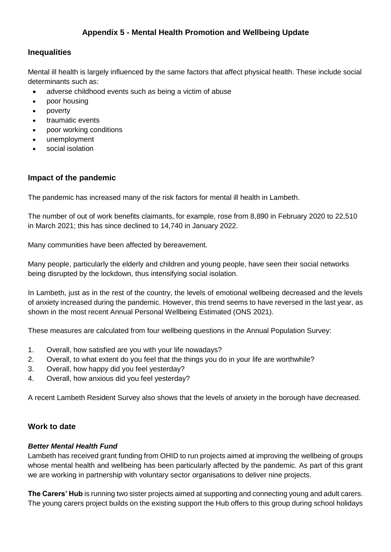# **Appendix 5 - Mental Health Promotion and Wellbeing Update**

### **Inequalities**

Mental ill health is largely influenced by the same factors that affect physical health. These include social determinants such as:

- adverse childhood events such as being a victim of abuse
- poor housing
- poverty
- traumatic events
- poor working conditions
- unemployment
- social isolation

## **Impact of the pandemic**

The pandemic has increased many of the risk factors for mental ill health in Lambeth.

The number of out of work benefits claimants, for example, rose from 8,890 in February 2020 to 22,510 in March 2021; this has since declined to 14,740 in January 2022.

Many communities have been affected by bereavement.

Many people, particularly the elderly and children and young people, have seen their social networks being disrupted by the lockdown, thus intensifying social isolation.

In Lambeth, just as in the rest of the country, the levels of emotional wellbeing decreased and the levels of anxiety increased during the pandemic. However, this trend seems to have reversed in the last year, as shown in the most recent Annual Personal Wellbeing Estimated (ONS 2021).

These measures are calculated from four wellbeing questions in the Annual Population Survey:

- 1. Overall, how satisfied are you with your life nowadays?
- 2. Overall, to what extent do you feel that the things you do in your life are worthwhile?
- 3. Overall, how happy did you feel yesterday?
- 4. Overall, how anxious did you feel yesterday?

A recent Lambeth Resident Survey also shows that the levels of anxiety in the borough have decreased.

### **Work to date**

#### *Better Mental Health Fund*

Lambeth has received grant funding from OHID to run projects aimed at improving the wellbeing of groups whose mental health and wellbeing has been particularly affected by the pandemic. As part of this grant we are working in partnership with voluntary sector organisations to deliver nine projects.

**The Carers' Hub** is running two sister projects aimed at supporting and connecting young and adult carers. The young carers project builds on the existing support the Hub offers to this group during school holidays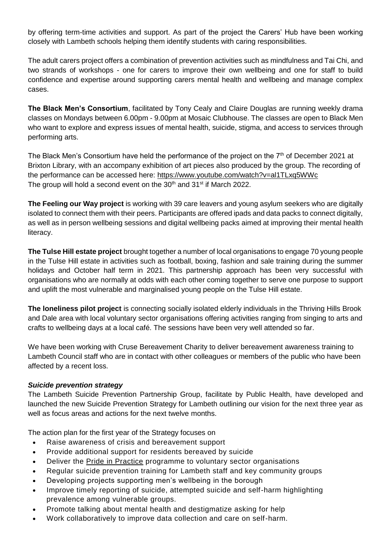by offering term-time activities and support. As part of the project the Carers' Hub have been working closely with Lambeth schools helping them identify students with caring responsibilities.

The adult carers project offers a combination of prevention activities such as mindfulness and Tai Chi, and two strands of workshops - one for carers to improve their own wellbeing and one for staff to build confidence and expertise around supporting carers mental health and wellbeing and manage complex cases.

**The Black Men's Consortium**, facilitated by Tony Cealy and Claire Douglas are running weekly drama classes on Mondays between 6.00pm - 9.00pm at Mosaic Clubhouse. The classes are open to Black Men who want to explore and express issues of mental health, suicide, stigma, and access to services through performing arts.

The Black Men's Consortium have held the performance of the project on the 7<sup>th</sup> of December 2021 at Brixton Library, with an accompany exhibition of art pieces also produced by the group. The recording of the performance can be accessed here:<https://www.youtube.com/watch?v=al1TLxq5WWc> The group will hold a second event on the  $30<sup>th</sup>$  and  $31<sup>st</sup>$  if March 2022.

**The Feeling our Way project** is working with 39 care leavers and young asylum seekers who are digitally isolated to connect them with their peers. Participants are offered ipads and data packs to connect digitally, as well as in person wellbeing sessions and digital wellbeing packs aimed at improving their mental health literacy.

**The Tulse Hill estate project** brought together a number of local organisations to engage 70 young people in the Tulse Hill estate in activities such as football, boxing, fashion and sale training during the summer holidays and October half term in 2021. This partnership approach has been very successful with organisations who are normally at odds with each other coming together to serve one purpose to support and uplift the most vulnerable and marginalised young people on the Tulse Hill estate.

**The loneliness pilot project** is connecting socially isolated elderly individuals in the Thriving Hills Brook and Dale area with local voluntary sector organisations offering activities ranging from singing to arts and crafts to wellbeing days at a local café. The sessions have been very well attended so far.

We have been working with Cruse Bereavement Charity to deliver bereavement awareness training to Lambeth Council staff who are in contact with other colleagues or members of the public who have been affected by a recent loss.

#### *Suicide prevention strategy*

The Lambeth Suicide Prevention Partnership Group, facilitate by Public Health, have developed and launched the new Suicide Prevention Strategy for Lambeth outlining our vision for the next three year as well as focus areas and actions for the next twelve months.

The action plan for the first year of the Strategy focuses on

- Raise awareness of crisis and bereavement support
- Provide additional support for residents bereaved by suicide
- Deliver the Pride in [Practice](https://eur03.safelinks.protection.outlook.com/?url=https%3A%2F%2Flgbt.foundation%2Fhow-we-can-help-you%2Fpride-in-practice&data=04%7C01%7CPGreen2%40lambeth.gov.uk%7Cbfa7f22631d54c166f3d08d9df30eb14%7Cc4f22780485f4507af4a60a971d6f7fe%7C0%7C0%7C637786223468510587%7CUnknown%7CTWFpbGZsb3d8eyJWIjoiMC4wLjAwMDAiLCJQIjoiV2luMzIiLCJBTiI6Ik1haWwiLCJXVCI6Mn0%3D%7C3000&sdata=%2Byci%2FSPXjbuUjw4q35s40y6osDYD%2BK4vFQ%2FcEsoI2K0%3D&reserved=0) programme to voluntary sector organisations
- Regular suicide prevention training for Lambeth staff and key community groups
- Developing projects supporting men's wellbeing in the borough
- Improve timely reporting of suicide, attempted suicide and self-harm highlighting prevalence among vulnerable groups.
- Promote talking about mental health and destigmatize asking for help
- Work collaboratively to improve data collection and care on self-harm.